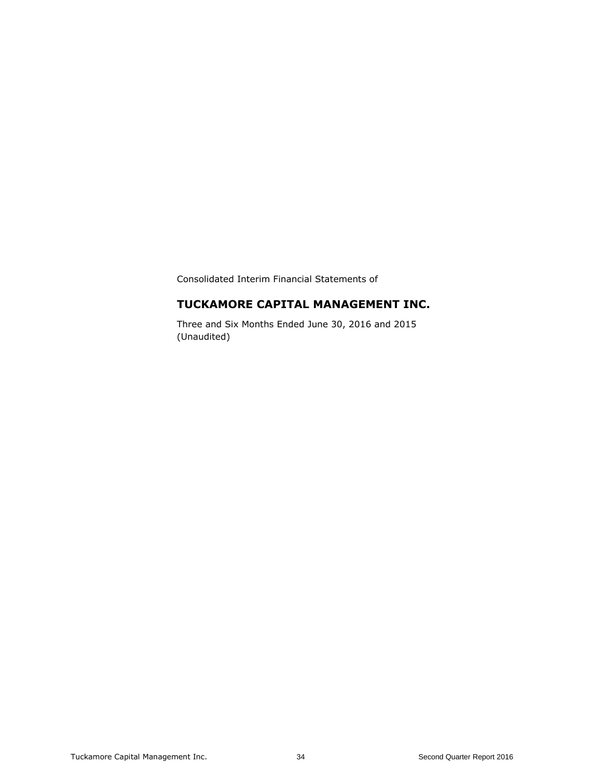Consolidated Interim Financial Statements of

# **TUCKAMORE CAPITAL MANAGEMENT INC.**

Three and Six Months Ended June 30, 2016 and 2015 (Unaudited)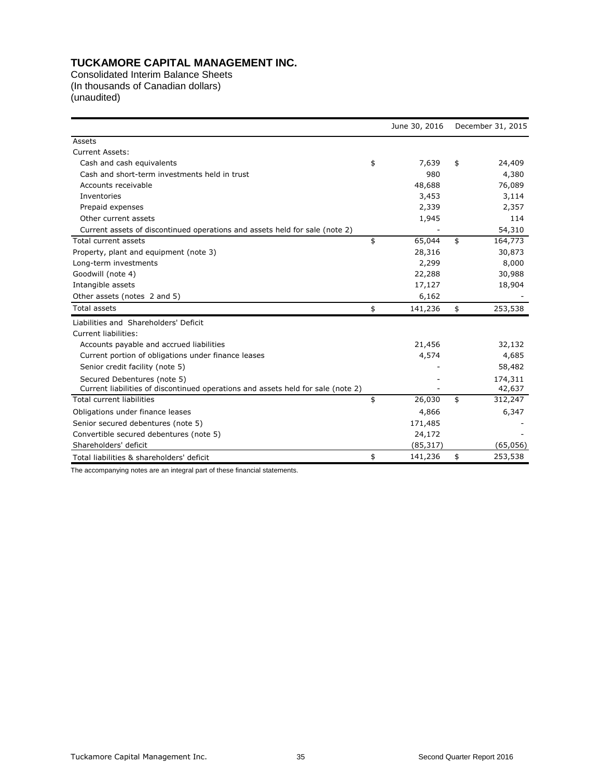Consolidated Interim Balance Sheets (In thousands of Canadian dollars) (unaudited)

|                                                                                  | June 30, 2016 | December 31, 2015 |
|----------------------------------------------------------------------------------|---------------|-------------------|
| Assets                                                                           |               |                   |
| <b>Current Assets:</b>                                                           |               |                   |
| Cash and cash equivalents                                                        | \$<br>7,639   | \$<br>24,409      |
| Cash and short-term investments held in trust                                    | 980           | 4,380             |
| Accounts receivable                                                              | 48,688        | 76,089            |
| Inventories                                                                      | 3,453         | 3,114             |
| Prepaid expenses                                                                 | 2,339         | 2,357             |
| Other current assets                                                             | 1,945         | 114               |
| Current assets of discontinued operations and assets held for sale (note 2)      |               | 54,310            |
| Total current assets                                                             | \$<br>65,044  | \$<br>164,773     |
| Property, plant and equipment (note 3)                                           | 28,316        | 30,873            |
| Long-term investments                                                            | 2,299         | 8,000             |
| Goodwill (note 4)                                                                | 22,288        | 30,988            |
| Intangible assets                                                                | 17,127        | 18,904            |
| Other assets (notes 2 and 5)                                                     | 6,162         |                   |
| <b>Total assets</b>                                                              | \$<br>141,236 | \$<br>253,538     |
| Liabilities and Shareholders' Deficit                                            |               |                   |
| Current liabilities:                                                             |               |                   |
| Accounts payable and accrued liabilities                                         | 21,456        | 32,132            |
| Current portion of obligations under finance leases                              | 4,574         | 4,685             |
| Senior credit facility (note 5)                                                  |               | 58,482            |
| Secured Debentures (note 5)                                                      |               | 174,311           |
| Current liabilities of discontinued operations and assets held for sale (note 2) |               | 42,637            |
| Total current liabilities                                                        | \$<br>26,030  | \$<br>312,247     |
| Obligations under finance leases                                                 | 4,866         | 6,347             |
| Senior secured debentures (note 5)                                               | 171,485       |                   |
| Convertible secured debentures (note 5)                                          | 24,172        |                   |
| Shareholders' deficit                                                            | (85, 317)     | (65,056)          |
| Total liabilities & shareholders' deficit                                        | \$<br>141,236 | \$<br>253,538     |

The accompanying notes are an integral part of these financial statements.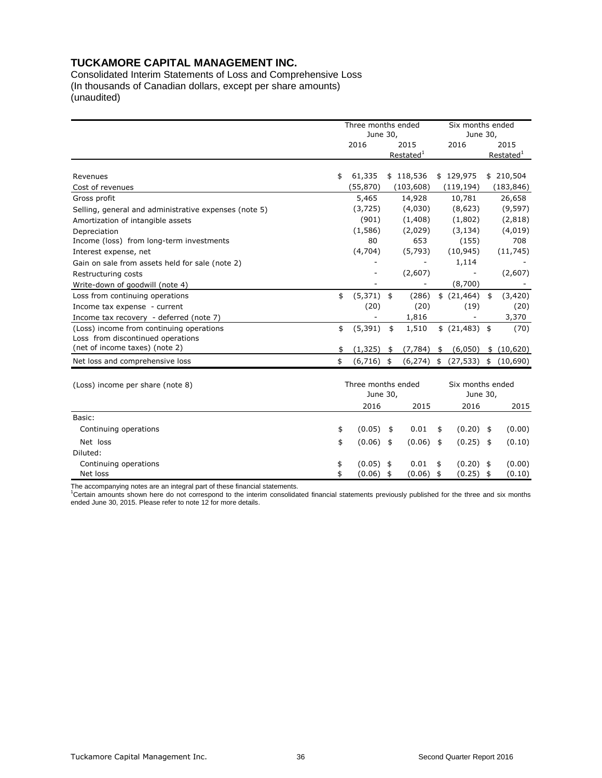Consolidated Interim Statements of Loss and Comprehensive Loss (In thousands of Canadian dollars, except per share amounts) (unaudited)

|                                                       |    | Three months ended<br>June 30, |                                |                              | Six months ended | June 30, |                       |
|-------------------------------------------------------|----|--------------------------------|--------------------------------|------------------------------|------------------|----------|-----------------------|
|                                                       |    | 2016                           | 2015                           |                              | 2016             |          | 2015                  |
|                                                       |    |                                | Restated <sup>1</sup>          |                              |                  |          | Restated <sup>1</sup> |
|                                                       |    |                                |                                |                              |                  |          |                       |
| Revenues                                              | \$ | 61,335                         | \$118,536                      |                              | \$129,975        |          | \$210,504             |
| Cost of revenues                                      |    | (55, 870)                      | (103, 608)                     |                              | (119, 194)       |          | (183, 846)            |
| Gross profit                                          |    | 5,465                          | 14,928                         |                              | 10,781           |          | 26,658                |
| Selling, general and administrative expenses (note 5) |    | (3, 725)                       | (4,030)                        |                              | (8,623)          |          | (9, 597)              |
| Amortization of intangible assets                     |    | (901)                          | (1,408)                        |                              | (1,802)          |          | (2,818)               |
| Depreciation                                          |    | (1,586)                        | (2,029)                        |                              | (3, 134)         |          | (4,019)               |
| Income (loss) from long-term investments              |    | 80                             | 653                            |                              | (155)            |          | 708                   |
| Interest expense, net                                 |    | (4,704)                        | (5,793)                        |                              | (10, 945)        |          | (11, 745)             |
| Gain on sale from assets held for sale (note 2)       |    |                                |                                |                              | 1,114            |          |                       |
| Restructuring costs                                   |    |                                | (2,607)                        |                              |                  |          | (2,607)               |
| Write-down of goodwill (note 4)                       |    |                                |                                |                              | (8,700)          |          |                       |
| Loss from continuing operations                       | \$ | $(5,371)$ \$                   | (286)                          |                              | \$ (21, 464)     | \$       | (3,420)               |
| Income tax expense - current                          |    | (20)                           | (20)                           |                              | (19)             |          | (20)                  |
| Income tax recovery - deferred (note 7)               |    |                                | 1,816                          |                              |                  |          | 3,370                 |
| (Loss) income from continuing operations              | \$ | (5, 391)                       | 1,510<br>\$                    |                              | \$ (21,483) \$   |          | (70)                  |
| Loss from discontinued operations                     |    |                                |                                |                              |                  |          |                       |
| (net of income taxes) (note 2)                        |    | (1, 325)                       | (7, 784)<br>\$                 | \$                           | (6,050)          |          | \$(10,620)            |
| Net loss and comprehensive loss                       | \$ | (6,716)                        | (6, 274)<br>\$                 | \$                           | (27, 533)        | \$       | (10,690)              |
| (Loss) income per share (note 8)                      |    |                                | Three months ended<br>June 30, | Six months ended<br>June 30, |                  |          |                       |
|                                                       |    | 2016                           | 2015                           |                              | 2016             |          | 2015                  |
| Basic:                                                |    |                                |                                |                              |                  |          |                       |
| Continuing operations                                 | \$ | (0.05)                         | 0.01<br>\$                     | \$                           | (0.20)           | \$       | (0.00)                |
| Net loss                                              | \$ | $(0.06)$ \$                    | $(0.06)$ \$                    |                              | $(0.25)$ \$      |          | (0.10)                |
| Diluted:                                              |    |                                |                                |                              |                  |          |                       |
| Continuing operations                                 | \$ | (0.05)                         | 0.01<br>\$                     | \$                           | $(0.20)$ \$      |          | (0.00)                |
| Net loss                                              | \$ | (0.06)                         | (0.06)<br>\$                   | \$                           | (0.25)           | \$       | (0.10)                |

The accompanying notes are an integral part of these financial statements.<br><sup>1</sup>Certain amounts shown here do not correspond to the interim consolidated financial statements previously published for the three and six months ended June 30, 2015. Please refer to note 12 for more details.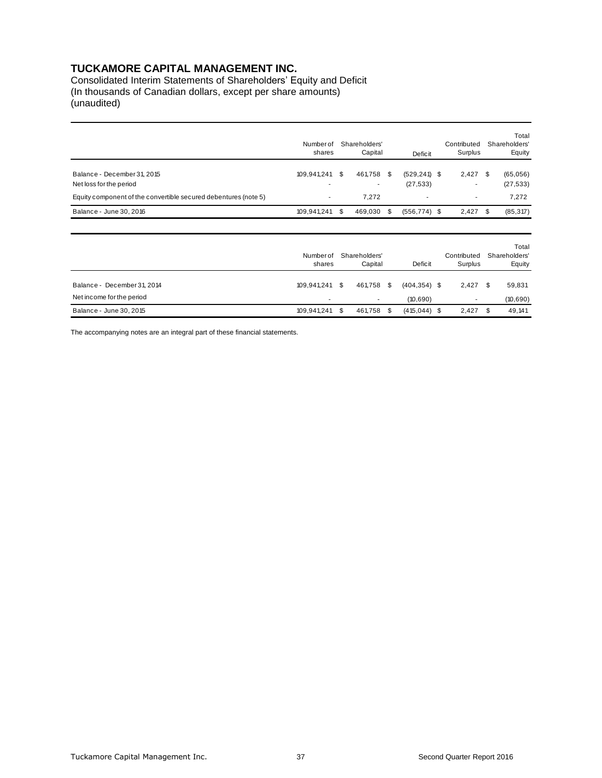Consolidated Interim Statements of Shareholders' Equity and Deficit (In thousands of Canadian dollars, except per share amounts) (unaudited)

|                                                                                                                           | Number of<br>shares |      | Shareholders'<br>Capital |      | Deficit                      |  |                        |     |                                  |  | Contributed<br>Surplus |  | Total<br>Shareholders'<br>Equity |
|---------------------------------------------------------------------------------------------------------------------------|---------------------|------|--------------------------|------|------------------------------|--|------------------------|-----|----------------------------------|--|------------------------|--|----------------------------------|
| Balance - December 31, 2015<br>Net loss for the period<br>Equity component of the convertible secured debentures (note 5) | 109,941,241         | S.   | 461,758<br>٠<br>7,272    | - \$ | $(529, 241)$ \$<br>(27, 533) |  | 2,427<br>۰             | -\$ | (65,056)<br>(27, 533)<br>7,272   |  |                        |  |                                  |
| Balance - June 30, 2016                                                                                                   | 109,941,241         | S.   | 469,030                  | \$   | $(556, 774)$ \$              |  | 2,427                  | \$  | (85, 317)                        |  |                        |  |                                  |
|                                                                                                                           | Number of<br>shares |      | Shareholders'<br>Capital |      | Deficit                      |  | Contributed<br>Surplus |     | Total<br>Shareholders'<br>Equity |  |                        |  |                                  |
| Balance - December 31, 2014<br>Net income for the period                                                                  | 109,941,241         | S.   | 461,758<br>٠             | \$   | $(404, 354)$ \$<br>(10,690)  |  | 2,427<br>٠             | \$  | 59,831<br>(10, 690)              |  |                        |  |                                  |
| Balance - June 30, 2015                                                                                                   | 109,941,241         | - \$ | 461,758                  | \$   | $(415, 044)$ \$              |  | 2,427                  | \$  | 49,141                           |  |                        |  |                                  |

The accompanying notes are an integral part of these financial statements.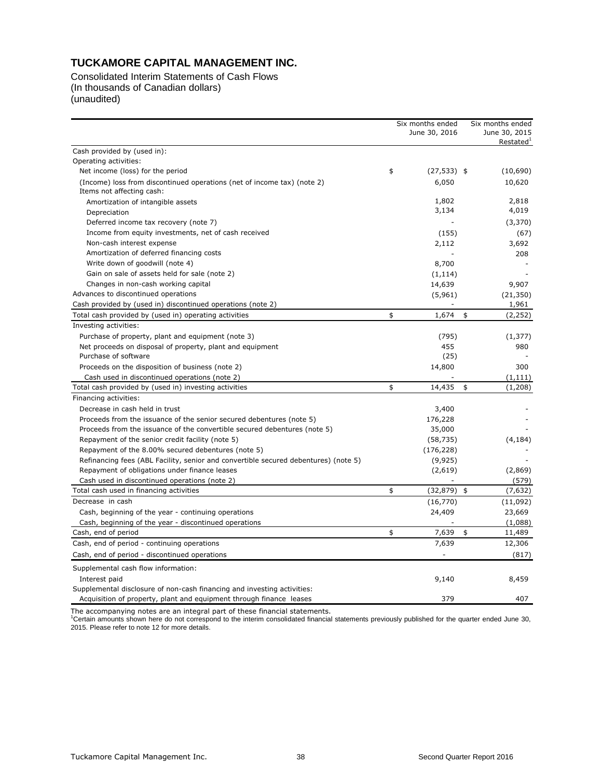Consolidated Interim Statements of Cash Flows (In thousands of Canadian dollars) (unaudited)

|                                                                                                      | Six months ended<br>June 30, 2016 | Six months ended<br>June 30, 2015<br>Restated <sup>1</sup> |
|------------------------------------------------------------------------------------------------------|-----------------------------------|------------------------------------------------------------|
| Cash provided by (used in):                                                                          |                                   |                                                            |
| Operating activities:                                                                                |                                   |                                                            |
| Net income (loss) for the period                                                                     | \$<br>$(27, 533)$ \$              | (10,690)                                                   |
| (Income) loss from discontinued operations (net of income tax) (note 2)<br>Items not affecting cash: | 6,050                             | 10,620                                                     |
| Amortization of intangible assets                                                                    | 1,802                             | 2,818                                                      |
| Depreciation                                                                                         | 3,134                             | 4,019                                                      |
| Deferred income tax recovery (note 7)                                                                |                                   | (3,370)                                                    |
| Income from equity investments, net of cash received                                                 | (155)                             | (67)                                                       |
| Non-cash interest expense                                                                            | 2,112                             | 3,692                                                      |
| Amortization of deferred financing costs                                                             |                                   | 208                                                        |
| Write down of goodwill (note 4)                                                                      | 8,700                             |                                                            |
| Gain on sale of assets held for sale (note 2)                                                        | (1, 114)                          |                                                            |
| Changes in non-cash working capital                                                                  | 14,639                            | 9,907                                                      |
| Advances to discontinued operations                                                                  | (5,961)                           | (21, 350)                                                  |
| Cash provided by (used in) discontinued operations (note 2)                                          |                                   | 1,961                                                      |
| Total cash provided by (used in) operating activities                                                | \$<br>1,674                       | \$<br>(2, 252)                                             |
| Investing activities:                                                                                |                                   |                                                            |
| Purchase of property, plant and equipment (note 3)                                                   | (795)                             | (1, 377)                                                   |
| Net proceeds on disposal of property, plant and equipment                                            | 455                               | 980                                                        |
| Purchase of software                                                                                 | (25)                              |                                                            |
| Proceeds on the disposition of business (note 2)                                                     | 14,800                            | 300                                                        |
| Cash used in discontinued operations (note 2)                                                        |                                   | (1, 111)                                                   |
| Total cash provided by (used in) investing activities                                                | \$<br>14,435                      | \$<br>(1,208)                                              |
| Financing activities:                                                                                |                                   |                                                            |
| Decrease in cash held in trust                                                                       | 3,400                             |                                                            |
| Proceeds from the issuance of the senior secured debentures (note 5)                                 | 176,228                           |                                                            |
| Proceeds from the issuance of the convertible secured debentures (note 5)                            | 35,000                            |                                                            |
| Repayment of the senior credit facility (note 5)                                                     | (58, 735)                         | (4, 184)                                                   |
| Repayment of the 8.00% secured debentures (note 5)                                                   | (176, 228)                        |                                                            |
| Refinancing fees (ABL Facility, senior and convertible secured debentures) (note 5)                  | (9, 925)                          |                                                            |
| Repayment of obligations under finance leases                                                        | (2,619)                           | (2,869)                                                    |
| Cash used in discontinued operations (note 2)                                                        |                                   | (579)                                                      |
| Total cash used in financing activities                                                              | \$<br>(32, 879)                   | \$<br>(7,632)                                              |
| Decrease in cash                                                                                     | (16, 770)                         | (11,092)                                                   |
| Cash, beginning of the year - continuing operations                                                  | 24,409                            | 23,669                                                     |
| Cash, beginning of the year - discontinued operations                                                |                                   | (1,088)                                                    |
| Cash, end of period                                                                                  | \$<br>7,639                       | \$<br>11,489                                               |
| Cash, end of period - continuing operations                                                          | 7,639                             | 12,306                                                     |
| Cash, end of period - discontinued operations                                                        |                                   | (817)                                                      |
| Supplemental cash flow information:                                                                  |                                   |                                                            |
| Interest paid                                                                                        | 9,140                             | 8,459                                                      |
| Supplemental disclosure of non-cash financing and investing activities:                              |                                   |                                                            |
| Acquisition of property, plant and equipment through finance leases                                  | 379                               | 407                                                        |

The accompanying notes are an integral part of these financial statements.<br><sup>1</sup>Certain amounts shown here do not correspond to the interim consolidated financial statements previously published for the quarter ended June 30 2015. Please refer to note 12 for more details.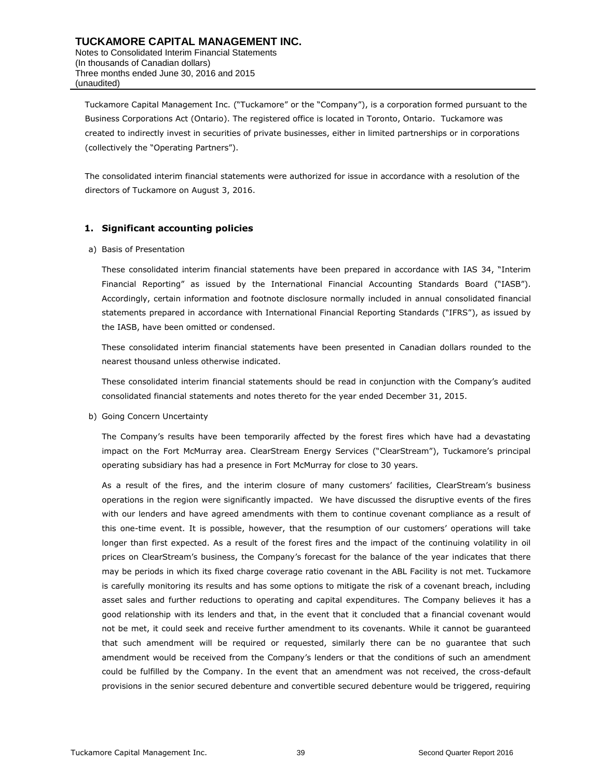Tuckamore Capital Management Inc. ("Tuckamore" or the "Company"), is a corporation formed pursuant to the Business Corporations Act (Ontario). The registered office is located in Toronto, Ontario. Tuckamore was created to indirectly invest in securities of private businesses, either in limited partnerships or in corporations (collectively the "Operating Partners").

The consolidated interim financial statements were authorized for issue in accordance with a resolution of the directors of Tuckamore on August 3, 2016.

#### **1. Significant accounting policies**

#### a) Basis of Presentation

These consolidated interim financial statements have been prepared in accordance with IAS 34, "Interim Financial Reporting" as issued by the International Financial Accounting Standards Board ("IASB"). Accordingly, certain information and footnote disclosure normally included in annual consolidated financial statements prepared in accordance with International Financial Reporting Standards ("IFRS"), as issued by the IASB, have been omitted or condensed.

These consolidated interim financial statements have been presented in Canadian dollars rounded to the nearest thousand unless otherwise indicated.

These consolidated interim financial statements should be read in conjunction with the Company's audited consolidated financial statements and notes thereto for the year ended December 31, 2015.

b) Going Concern Uncertainty

The Company's results have been temporarily affected by the forest fires which have had a devastating impact on the Fort McMurray area. ClearStream Energy Services ("ClearStream"), Tuckamore's principal operating subsidiary has had a presence in Fort McMurray for close to 30 years.

As a result of the fires, and the interim closure of many customers' facilities, ClearStream's business operations in the region were significantly impacted. We have discussed the disruptive events of the fires with our lenders and have agreed amendments with them to continue covenant compliance as a result of this one-time event. It is possible, however, that the resumption of our customers' operations will take longer than first expected. As a result of the forest fires and the impact of the continuing volatility in oil prices on ClearStream's business, the Company's forecast for the balance of the year indicates that there may be periods in which its fixed charge coverage ratio covenant in the ABL Facility is not met. Tuckamore is carefully monitoring its results and has some options to mitigate the risk of a covenant breach, including asset sales and further reductions to operating and capital expenditures. The Company believes it has a good relationship with its lenders and that, in the event that it concluded that a financial covenant would not be met, it could seek and receive further amendment to its covenants. While it cannot be guaranteed that such amendment will be required or requested, similarly there can be no guarantee that such amendment would be received from the Company's lenders or that the conditions of such an amendment could be fulfilled by the Company. In the event that an amendment was not received, the cross-default provisions in the senior secured debenture and convertible secured debenture would be triggered, requiring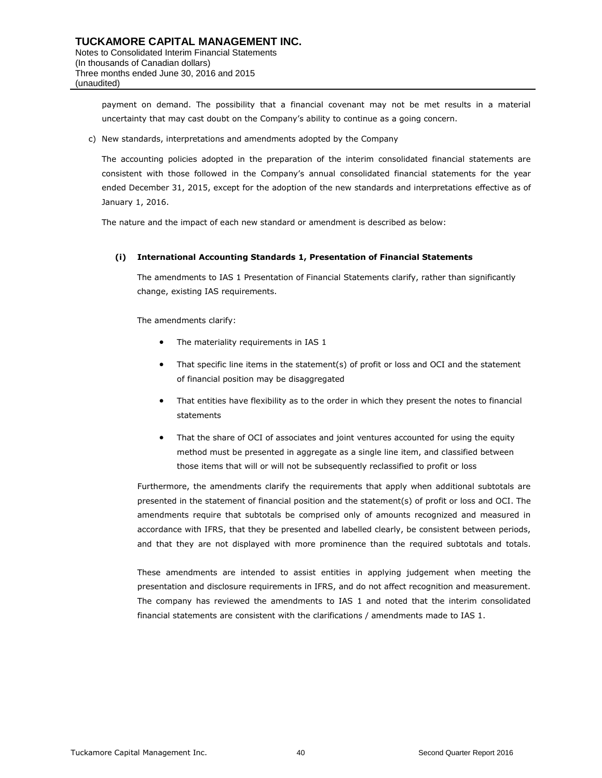payment on demand. The possibility that a financial covenant may not be met results in a material uncertainty that may cast doubt on the Company's ability to continue as a going concern.

c) New standards, interpretations and amendments adopted by the Company

The accounting policies adopted in the preparation of the interim consolidated financial statements are consistent with those followed in the Company's annual consolidated financial statements for the year ended December 31, 2015, except for the adoption of the new standards and interpretations effective as of January 1, 2016.

The nature and the impact of each new standard or amendment is described as below:

#### **(i) International Accounting Standards 1, Presentation of Financial Statements**

The amendments to [IAS 1 Presentation of Financial Statements](http://gaait-aa.ey.net/Document.aspx?gotoString=IAS%201&ProductId=115&IsTreeForTesting=False) clarify, rather than significantly change, existing IAS requirements.

The amendments clarify:

- The materiality requirements in IAS 1
- That specific line items in the statement(s) of profit or loss and OCI and the statement of financial position may be disaggregated
- That entities have flexibility as to the order in which they present the notes to financial statements
- That the share of OCI of associates and joint ventures accounted for using the equity method must be presented in aggregate as a single line item, and classified between those items that will or will not be subsequently reclassified to profit or loss

Furthermore, the amendments clarify the requirements that apply when additional subtotals are presented in the statement of financial position and the statement(s) of profit or loss and OCI. The amendments require that subtotals be comprised only of amounts recognized and measured in accordance with IFRS, that they be presented and labelled clearly, be consistent between periods, and that they are not displayed with more prominence than the required subtotals and totals.

These amendments are intended to assist entities in applying judgement when meeting the presentation and disclosure requirements in IFRS, and do not affect recognition and measurement. The company has reviewed the amendments to IAS 1 and noted that the interim consolidated financial statements are consistent with the clarifications / amendments made to IAS 1.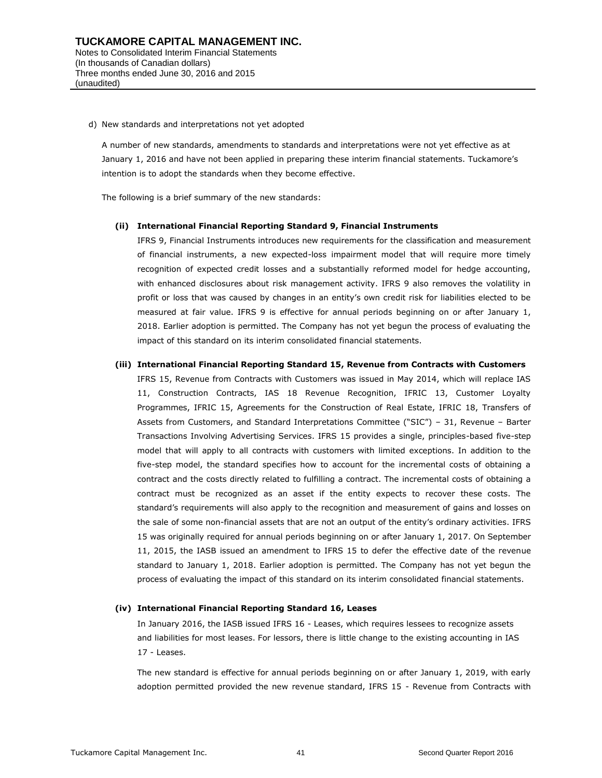d) New standards and interpretations not yet adopted

A number of new standards, amendments to standards and interpretations were not yet effective as at January 1, 2016 and have not been applied in preparing these interim financial statements. Tuckamore's intention is to adopt the standards when they become effective.

The following is a brief summary of the new standards:

#### **(ii) International Financial Reporting Standard 9, Financial Instruments**

IFRS 9, Financial Instruments introduces new requirements for the classification and measurement of financial instruments, a new expected-loss impairment model that will require more timely recognition of expected credit losses and a substantially reformed model for hedge accounting, with enhanced disclosures about risk management activity. IFRS 9 also removes the volatility in profit or loss that was caused by changes in an entity's own credit risk for liabilities elected to be measured at fair value. IFRS 9 is effective for annual periods beginning on or after January 1, 2018. Earlier adoption is permitted. The Company has not yet begun the process of evaluating the impact of this standard on its interim consolidated financial statements.

#### **(iii) International Financial Reporting Standard 15, Revenue from Contracts with Customers**

IFRS 15, Revenue from Contracts with Customers was issued in May 2014, which will replace IAS 11, Construction Contracts, IAS 18 Revenue Recognition, IFRIC 13, Customer Loyalty Programmes, IFRIC 15, Agreements for the Construction of Real Estate, IFRIC 18, Transfers of Assets from Customers, and Standard Interpretations Committee ("SIC") – 31, Revenue – Barter Transactions Involving Advertising Services. IFRS 15 provides a single, principles-based five-step model that will apply to all contracts with customers with limited exceptions. In addition to the five-step model, the standard specifies how to account for the incremental costs of obtaining a contract and the costs directly related to fulfilling a contract. The incremental costs of obtaining a contract must be recognized as an asset if the entity expects to recover these costs. The standard's requirements will also apply to the recognition and measurement of gains and losses on the sale of some non-financial assets that are not an output of the entity's ordinary activities. IFRS 15 was originally required for annual periods beginning on or after January 1, 2017. On September 11, 2015, the IASB issued an amendment to IFRS 15 to defer the effective date of the revenue standard to January 1, 2018. Earlier adoption is permitted. The Company has not yet begun the process of evaluating the impact of this standard on its interim consolidated financial statements.

#### **(iv) International Financial Reporting Standard 16, Leases**

In January 2016, the IASB issued IFRS 16 - Leases, which requires lessees to recognize assets and liabilities for most leases. For lessors, there is little change to the existing accounting in IAS 17 - Leases.

The new standard is effective for annual periods beginning on or after January 1, 2019, with early adoption permitted provided the new revenue standard, IFRS 15 - Revenue from Contracts with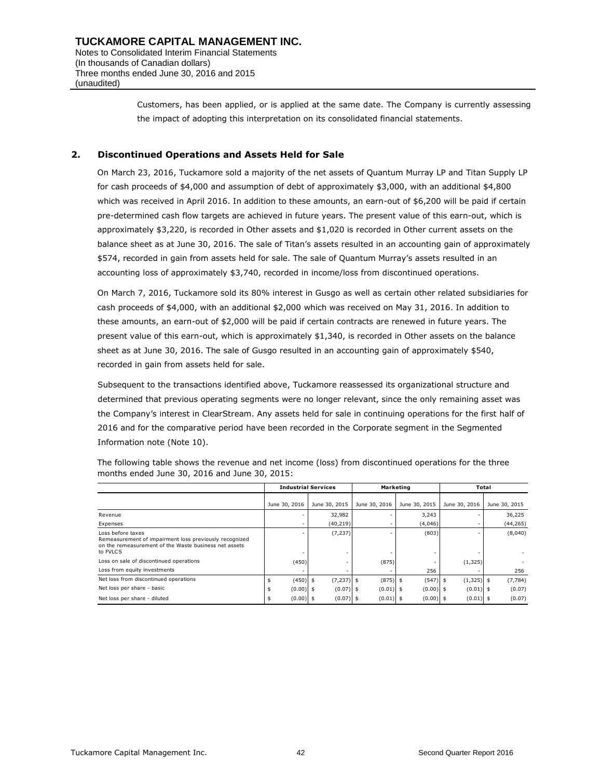Customers, has been applied, or is applied at the same date. The Company is currently assessing the impact of adopting this interpretation on its consolidated financial statements.

#### **2. Discontinued Operations and Assets Held for Sale**

On March 23, 2016, Tuckamore sold a majority of the net assets of Quantum Murray LP and Titan Supply LP for cash proceeds of \$4,000 and assumption of debt of approximately \$3,000, with an additional \$4,800 which was received in April 2016. In addition to these amounts, an earn-out of \$6,200 will be paid if certain pre-determined cash flow targets are achieved in future years. The present value of this earn-out, which is approximately \$3,220, is recorded in Other assets and \$1,020 is recorded in Other current assets on the balance sheet as at June 30, 2016. The sale of Titan's assets resulted in an accounting gain of approximately \$574, recorded in gain from assets held for sale. The sale of Quantum Murray's assets resulted in an accounting loss of approximately \$3,740, recorded in income/loss from discontinued operations.

On March 7, 2016, Tuckamore sold its 80% interest in Gusgo as well as certain other related subsidiaries for cash proceeds of \$4,000, with an additional \$2,000 which was received on May 31, 2016. In addition to these amounts, an earn-out of \$2,000 will be paid if certain contracts are renewed in future years. The present value of this earn-out, which is approximately \$1,340, is recorded in Other assets on the balance sheet as at June 30, 2016. The sale of Gusgo resulted in an accounting gain of approximately \$540, recorded in gain from assets held for sale.

Subsequent to the transactions identified above, Tuckamore reassessed its organizational structure and determined that previous operating segments were no longer relevant, since the only remaining asset was the Company's interest in ClearStream. Any assets held for sale in continuing operations for the first half of 2016 and for the comparative period have been recorded in the Corporate segment in the Segmented Information note (Note 10).

|                                                                                                                                                  |               | <b>Industrial Services</b> |                   | Marketing     | Total              |               |  |  |
|--------------------------------------------------------------------------------------------------------------------------------------------------|---------------|----------------------------|-------------------|---------------|--------------------|---------------|--|--|
|                                                                                                                                                  | June 30, 2016 | June 30, 2015              | June 30, 2016     | June 30, 2015 | June 30, 2016      | June 30, 2015 |  |  |
| Revenue                                                                                                                                          |               | 32,982                     |                   | 3,243         |                    | 36,225        |  |  |
| Expenses                                                                                                                                         |               | (40, 219)                  |                   | (4,046)       |                    | (44, 265)     |  |  |
| Loss before taxes<br>Remeasurement of impairment loss previously recognized<br>on the remeasurement of the Waste business net assets<br>to FVLCS |               | (7, 237)                   |                   | (803)         |                    | (8,040)       |  |  |
| Loss on sale of discontinued operations                                                                                                          | (450)         |                            | (875)             |               | (1, 325)           |               |  |  |
| Loss from equity investments                                                                                                                     |               |                            |                   | 256           |                    | 256           |  |  |
| Net loss from discontinued operations                                                                                                            | $(450)$ \$    | (7, 237)                   | $(875)$ \$<br>S   | (547)         | $(1,325)$ \$<br>\$ | (7, 784)      |  |  |
| Net loss per share - basic                                                                                                                       | $(0.00)$ \$   | (0.07)                     | $(0.01)$ \$<br>\$ | $(0.00)$ \$   | $(0.01)$ \$        | (0.07)        |  |  |
| Net loss per share - diluted                                                                                                                     | $(0.00)$ \$   | (0.07)                     | $(0.01)$ \$       | $(0.00)$ \$   | $(0.01)$ \$        | (0.07)        |  |  |

The following table shows the revenue and net income (loss) from discontinued operations for the three months ended June 30, 2016 and June 30, 2015: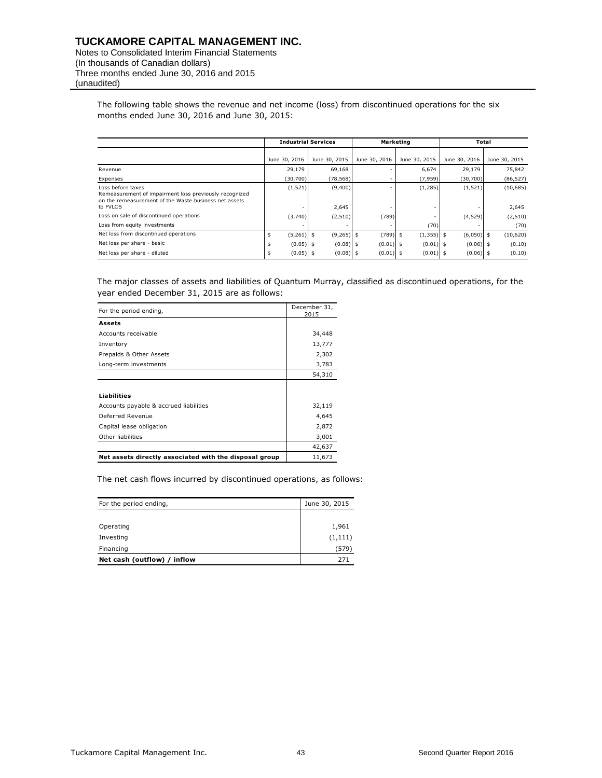Notes to Consolidated Interim Financial Statements (In thousands of Canadian dollars) Three months ended June 30, 2016 and 2015 (unaudited)

> The following table shows the revenue and net income (loss) from discontinued operations for the six months ended June 30, 2016 and June 30, 2015:

|                                                                                                                                                  |               | <b>Industrial Services</b> |               | Marketing     | Total         |                   |  |  |
|--------------------------------------------------------------------------------------------------------------------------------------------------|---------------|----------------------------|---------------|---------------|---------------|-------------------|--|--|
|                                                                                                                                                  | June 30, 2016 | June 30, 2015              | June 30, 2016 | June 30, 2015 | June 30, 2016 | June 30, 2015     |  |  |
| Revenue                                                                                                                                          | 29,179        | 69,168                     |               | 6,674         | 29,179        | 75,842            |  |  |
| Expenses                                                                                                                                         | (30,700)      | (78, 568)                  |               | (7, 959)      | (30,700)      | (86, 527)         |  |  |
| Loss before taxes<br>Remeasurement of impairment loss previously recognized<br>on the remeasurement of the Waste business net assets<br>to FVLCS | (1, 521)      | (9,400)<br>2,645           |               | (1, 285)      | (1, 521)      | (10,685)<br>2,645 |  |  |
| Loss on sale of discontinued operations                                                                                                          | (3,740)       | (2, 510)                   | (789)         |               | (4, 529)      | (2, 510)          |  |  |
| Loss from equity investments                                                                                                                     |               |                            |               | (70)          |               | (70)              |  |  |
| Net loss from discontinued operations                                                                                                            | $(5,261)$ \$  | $(9,265)$ \$               | $(789)$ \$    | $(1,355)$ \$  | $(6,050)$ \$  | (10,620)          |  |  |
| Net loss per share - basic                                                                                                                       | $(0.05)$ \$   | $(0.08)$ \$                | $(0.01)$ \$   | $(0.01)$ \$   | $(0.06)$ \$   | (0.10)            |  |  |
| Net loss per share - diluted                                                                                                                     | $(0.05)$ \$   | $(0.08)$ \$                | $(0.01)$ \$   | $(0.01)$ \$   | $(0.06)$ \$   | (0.10)            |  |  |

The major classes of assets and liabilities of Quantum Murray, classified as discontinued operations, for the year ended December 31, 2015 are as follows:

| For the period ending,                                 | December 31,<br>2015 |
|--------------------------------------------------------|----------------------|
| <b>Assets</b>                                          |                      |
| Accounts receivable                                    | 34,448               |
| Inventory                                              | 13,777               |
| Prepaids & Other Assets                                | 2,302                |
| Long-term investments                                  | 3,783                |
|                                                        | 54,310               |
|                                                        |                      |
| <b>Liabilities</b>                                     |                      |
| Accounts payable & accrued liabilities                 | 32,119               |
| Deferred Revenue                                       | 4,645                |
| Capital lease obligation                               | 2,872                |
| Other liabilities                                      | 3,001                |
|                                                        | 42,637               |
| Net assets directly associated with the disposal group | 11,673               |

The net cash flows incurred by discontinued operations, as follows:

| For the period ending,      | June 30, 2015 |
|-----------------------------|---------------|
|                             |               |
| Operating                   | 1,961         |
| Investing                   | (1, 111)      |
| Financing                   | (579)         |
| Net cash (outflow) / inflow | 271           |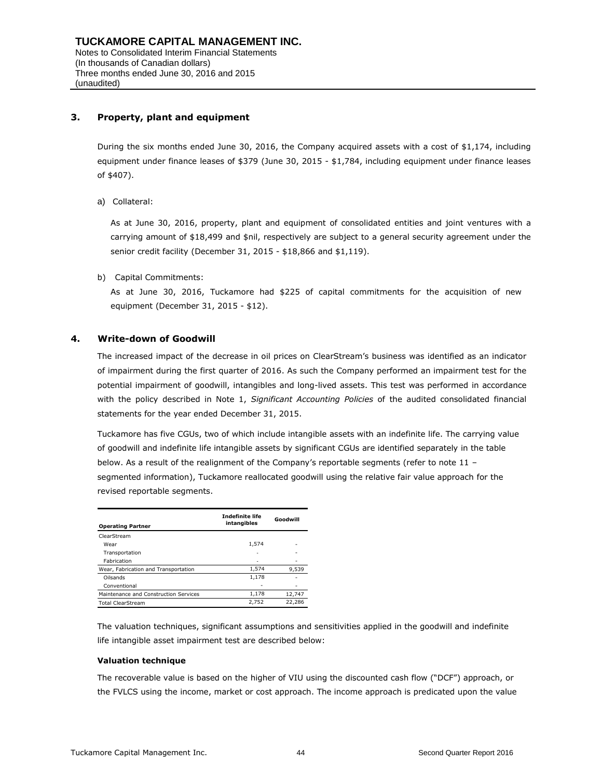### **3. Property, plant and equipment**

During the six months ended June 30, 2016, the Company acquired assets with a cost of \$1,174, including equipment under finance leases of \$379 (June 30, 2015 - \$1,784, including equipment under finance leases of \$407).

a) Collateral:

As at June 30, 2016, property, plant and equipment of consolidated entities and joint ventures with a carrying amount of \$18,499 and \$nil, respectively are subject to a general security agreement under the senior credit facility (December 31, 2015 - \$18,866 and \$1,119).

b) Capital Commitments:

As at June 30, 2016, Tuckamore had \$225 of capital commitments for the acquisition of new equipment (December 31, 2015 - \$12).

### **4. Write-down of Goodwill**

The increased impact of the decrease in oil prices on ClearStream's business was identified as an indicator of impairment during the first quarter of 2016. As such the Company performed an impairment test for the potential impairment of goodwill, intangibles and long-lived assets. This test was performed in accordance with the policy described in Note 1, *Significant Accounting Policies* of the audited consolidated financial statements for the year ended December 31, 2015.

Tuckamore has five CGUs, two of which include intangible assets with an indefinite life. The carrying value of goodwill and indefinite life intangible assets by significant CGUs are identified separately in the table below. As a result of the realignment of the Company's reportable segments (refer to note 11 segmented information), Tuckamore reallocated goodwill using the relative fair value approach for the revised reportable segments.

| <b>Operating Partner</b>              | <b>Indefinite life</b><br>intangibles | Goodwill |
|---------------------------------------|---------------------------------------|----------|
| ClearStream                           |                                       |          |
| Wear                                  | 1,574                                 |          |
| Transportation                        | ٠                                     |          |
| Fabrication                           |                                       |          |
| Wear, Fabrication and Transportation  | 1,574                                 | 9,539    |
| Oilsands                              | 1,178                                 |          |
| Conventional                          |                                       |          |
| Maintenance and Construction Services | 1,178                                 | 12,747   |
| <b>Total ClearStream</b>              | 2.752                                 | 22,286   |

The valuation techniques, significant assumptions and sensitivities applied in the goodwill and indefinite life intangible asset impairment test are described below:

#### **Valuation technique**

The recoverable value is based on the higher of VIU using the discounted cash flow ("DCF") approach, or the FVLCS using the income, market or cost approach. The income approach is predicated upon the value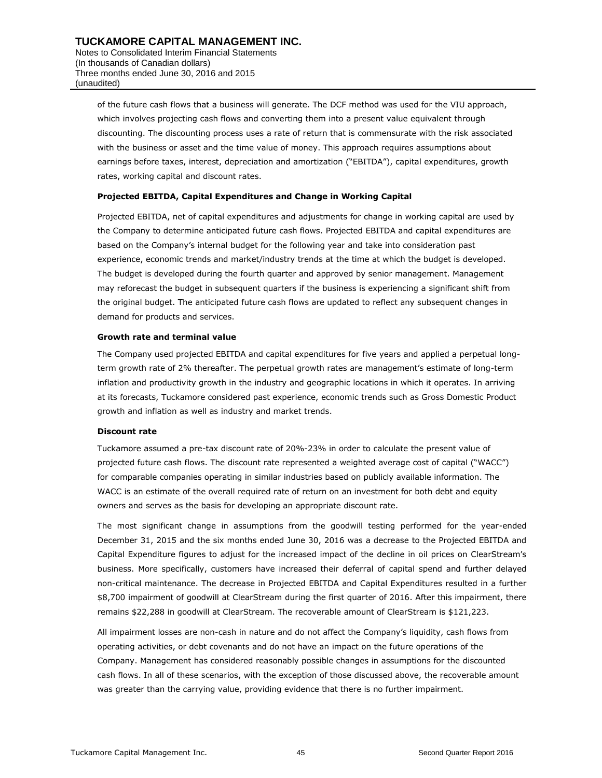of the future cash flows that a business will generate. The DCF method was used for the VIU approach, which involves projecting cash flows and converting them into a present value equivalent through discounting. The discounting process uses a rate of return that is commensurate with the risk associated with the business or asset and the time value of money. This approach requires assumptions about earnings before taxes, interest, depreciation and amortization ("EBITDA"), capital expenditures, growth rates, working capital and discount rates.

#### **Projected EBITDA, Capital Expenditures and Change in Working Capital**

Projected EBITDA, net of capital expenditures and adjustments for change in working capital are used by the Company to determine anticipated future cash flows. Projected EBITDA and capital expenditures are based on the Company's internal budget for the following year and take into consideration past experience, economic trends and market/industry trends at the time at which the budget is developed. The budget is developed during the fourth quarter and approved by senior management. Management may reforecast the budget in subsequent quarters if the business is experiencing a significant shift from the original budget. The anticipated future cash flows are updated to reflect any subsequent changes in demand for products and services.

#### **Growth rate and terminal value**

The Company used projected EBITDA and capital expenditures for five years and applied a perpetual longterm growth rate of 2% thereafter. The perpetual growth rates are management's estimate of long-term inflation and productivity growth in the industry and geographic locations in which it operates. In arriving at its forecasts, Tuckamore considered past experience, economic trends such as Gross Domestic Product growth and inflation as well as industry and market trends.

#### **Discount rate**

Tuckamore assumed a pre-tax discount rate of 20%-23% in order to calculate the present value of projected future cash flows. The discount rate represented a weighted average cost of capital ("WACC") for comparable companies operating in similar industries based on publicly available information. The WACC is an estimate of the overall required rate of return on an investment for both debt and equity owners and serves as the basis for developing an appropriate discount rate.

The most significant change in assumptions from the goodwill testing performed for the year-ended December 31, 2015 and the six months ended June 30, 2016 was a decrease to the Projected EBITDA and Capital Expenditure figures to adjust for the increased impact of the decline in oil prices on ClearStream's business. More specifically, customers have increased their deferral of capital spend and further delayed non-critical maintenance. The decrease in Projected EBITDA and Capital Expenditures resulted in a further \$8,700 impairment of goodwill at ClearStream during the first quarter of 2016. After this impairment, there remains \$22,288 in goodwill at ClearStream. The recoverable amount of ClearStream is \$121,223.

All impairment losses are non-cash in nature and do not affect the Company's liquidity, cash flows from operating activities, or debt covenants and do not have an impact on the future operations of the Company. Management has considered reasonably possible changes in assumptions for the discounted cash flows. In all of these scenarios, with the exception of those discussed above, the recoverable amount was greater than the carrying value, providing evidence that there is no further impairment.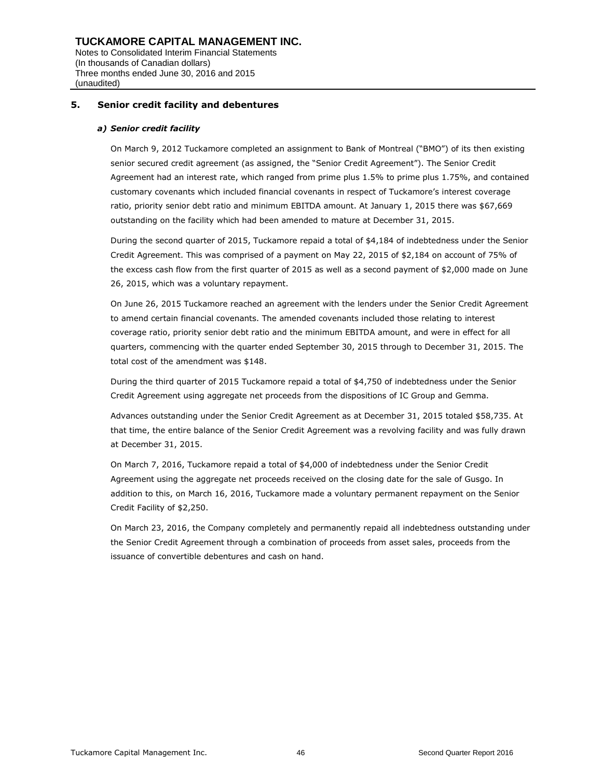### **5. Senior credit facility and debentures**

#### *a) Senior credit facility*

(unaudited)

On March 9, 2012 Tuckamore completed an assignment to Bank of Montreal ("BMO") of its then existing senior secured credit agreement (as assigned, the "Senior Credit Agreement"). The Senior Credit Agreement had an interest rate, which ranged from prime plus 1.5% to prime plus 1.75%, and contained customary covenants which included financial covenants in respect of Tuckamore's interest coverage ratio, priority senior debt ratio and minimum EBITDA amount. At January 1, 2015 there was \$67,669 outstanding on the facility which had been amended to mature at December 31, 2015.

During the second quarter of 2015, Tuckamore repaid a total of \$4,184 of indebtedness under the Senior Credit Agreement. This was comprised of a payment on May 22, 2015 of \$2,184 on account of 75% of the excess cash flow from the first quarter of 2015 as well as a second payment of \$2,000 made on June 26, 2015, which was a voluntary repayment.

On June 26, 2015 Tuckamore reached an agreement with the lenders under the Senior Credit Agreement to amend certain financial covenants. The amended covenants included those relating to interest coverage ratio, priority senior debt ratio and the minimum EBITDA amount, and were in effect for all quarters, commencing with the quarter ended September 30, 2015 through to December 31, 2015. The total cost of the amendment was \$148.

During the third quarter of 2015 Tuckamore repaid a total of \$4,750 of indebtedness under the Senior Credit Agreement using aggregate net proceeds from the dispositions of IC Group and Gemma.

Advances outstanding under the Senior Credit Agreement as at December 31, 2015 totaled \$58,735. At that time, the entire balance of the Senior Credit Agreement was a revolving facility and was fully drawn at December 31, 2015.

On March 7, 2016, Tuckamore repaid a total of \$4,000 of indebtedness under the Senior Credit Agreement using the aggregate net proceeds received on the closing date for the sale of Gusgo. In addition to this, on March 16, 2016, Tuckamore made a voluntary permanent repayment on the Senior Credit Facility of \$2,250.

On March 23, 2016, the Company completely and permanently repaid all indebtedness outstanding under the Senior Credit Agreement through a combination of proceeds from asset sales, proceeds from the issuance of convertible debentures and cash on hand.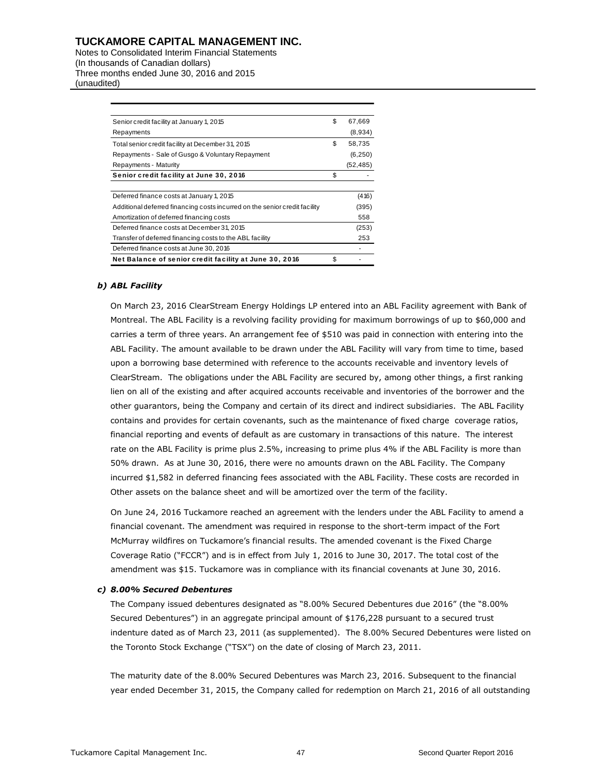Notes to Consolidated Interim Financial Statements (In thousands of Canadian dollars) Three months ended June 30, 2016 and 2015 (unaudited)

| Senior credit facility at January 1, 2015                                  | \$<br>67,669 |
|----------------------------------------------------------------------------|--------------|
| Repayments                                                                 | (8,934)      |
| Total senior credit facility at December 31, 2015                          | \$<br>58,735 |
| Repayments - Sale of Gusgo & Voluntary Repayment                           | (6, 250)     |
| Repayments - Maturity                                                      | (52,485)     |
| Senior credit facility at June 30, 2016                                    | \$           |
|                                                                            |              |
| Deferred finance costs at January 1, 2015                                  | (416)        |
| Additional deferred financing costs incurred on the senior credit facility | (395)        |
| Amortization of deferred financing costs                                   | 558          |
| Deferred finance costs at December 31, 2015                                | (253)        |
| Transfer of deferred financing costs to the ABL facility                   | 253          |
| Deferred finance costs at June 30, 2016                                    |              |
| Net Balance of senior credit facility at June 30, 2016                     | \$           |

#### *b) ABL Facility*

On March 23, 2016 ClearStream Energy Holdings LP entered into an ABL Facility agreement with Bank of Montreal. The ABL Facility is a revolving facility providing for maximum borrowings of up to \$60,000 and carries a term of three years. An arrangement fee of \$510 was paid in connection with entering into the ABL Facility. The amount available to be drawn under the ABL Facility will vary from time to time, based upon a borrowing base determined with reference to the accounts receivable and inventory levels of ClearStream. The obligations under the ABL Facility are secured by, among other things, a first ranking lien on all of the existing and after acquired accounts receivable and inventories of the borrower and the other guarantors, being the Company and certain of its direct and indirect subsidiaries. The ABL Facility contains and provides for certain covenants, such as the maintenance of fixed charge coverage ratios, financial reporting and events of default as are customary in transactions of this nature. The interest rate on the ABL Facility is prime plus 2.5%, increasing to prime plus 4% if the ABL Facility is more than 50% drawn. As at June 30, 2016, there were no amounts drawn on the ABL Facility. The Company incurred \$1,582 in deferred financing fees associated with the ABL Facility. These costs are recorded in Other assets on the balance sheet and will be amortized over the term of the facility.

On June 24, 2016 Tuckamore reached an agreement with the lenders under the ABL Facility to amend a financial covenant. The amendment was required in response to the short-term impact of the Fort McMurray wildfires on Tuckamore's financial results. The amended covenant is the Fixed Charge Coverage Ratio ("FCCR") and is in effect from July 1, 2016 to June 30, 2017. The total cost of the amendment was \$15. Tuckamore was in compliance with its financial covenants at June 30, 2016.

#### *c) 8.00% Secured Debentures*

The Company issued debentures designated as "8.00% Secured Debentures due 2016" (the "8.00% Secured Debentures") in an aggregate principal amount of \$176,228 pursuant to a secured trust indenture dated as of March 23, 2011 (as supplemented). The 8.00% Secured Debentures were listed on the Toronto Stock Exchange ("TSX") on the date of closing of March 23, 2011.

The maturity date of the 8.00% Secured Debentures was March 23, 2016. Subsequent to the financial year ended December 31, 2015, the Company called for redemption on March 21, 2016 of all outstanding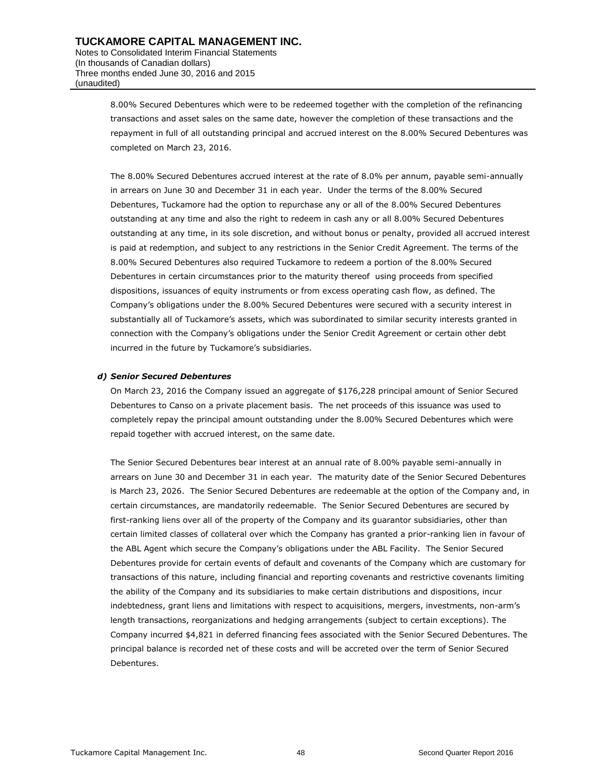8.00% Secured Debentures which were to be redeemed together with the completion of the refinancing transactions and asset sales on the same date, however the completion of these transactions and the repayment in full of all outstanding principal and accrued interest on the 8.00% Secured Debentures was completed on March 23, 2016.

The 8.00% Secured Debentures accrued interest at the rate of 8.0% per annum, payable semi-annually in arrears on June 30 and December 31 in each year. Under the terms of the 8.00% Secured Debentures, Tuckamore had the option to repurchase any or all of the 8.00% Secured Debentures outstanding at any time and also the right to redeem in cash any or all 8.00% Secured Debentures outstanding at any time, in its sole discretion, and without bonus or penalty, provided all accrued interest is paid at redemption, and subject to any restrictions in the Senior Credit Agreement. The terms of the 8.00% Secured Debentures also required Tuckamore to redeem a portion of the 8.00% Secured Debentures in certain circumstances prior to the maturity thereof using proceeds from specified dispositions, issuances of equity instruments or from excess operating cash flow, as defined. The Company's obligations under the 8.00% Secured Debentures were secured with a security interest in substantially all of Tuckamore's assets, which was subordinated to similar security interests granted in connection with the Company's obligations under the Senior Credit Agreement or certain other debt incurred in the future by Tuckamore's subsidiaries.

#### *d) Senior Secured Debentures*

On March 23, 2016 the Company issued an aggregate of \$176,228 principal amount of Senior Secured Debentures to Canso on a private placement basis. The net proceeds of this issuance was used to completely repay the principal amount outstanding under the 8.00% Secured Debentures which were repaid together with accrued interest, on the same date.

The Senior Secured Debentures bear interest at an annual rate of 8.00% payable semi-annually in arrears on June 30 and December 31 in each year. The maturity date of the Senior Secured Debentures is March 23, 2026. The Senior Secured Debentures are redeemable at the option of the Company and, in certain circumstances, are mandatorily redeemable. The Senior Secured Debentures are secured by first-ranking liens over all of the property of the Company and its guarantor subsidiaries, other than certain limited classes of collateral over which the Company has granted a prior-ranking lien in favour of the ABL Agent which secure the Company's obligations under the ABL Facility. The Senior Secured Debentures provide for certain events of default and covenants of the Company which are customary for transactions of this nature, including financial and reporting covenants and restrictive covenants limiting the ability of the Company and its subsidiaries to make certain distributions and dispositions, incur indebtedness, grant liens and limitations with respect to acquisitions, mergers, investments, non-arm's length transactions, reorganizations and hedging arrangements (subject to certain exceptions). The Company incurred \$4,821 in deferred financing fees associated with the Senior Secured Debentures. The principal balance is recorded net of these costs and will be accreted over the term of Senior Secured Debentures.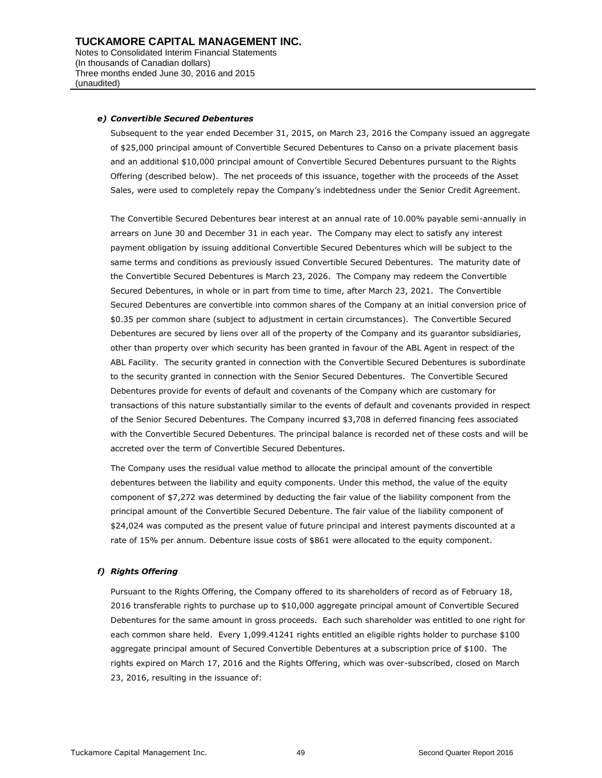#### *e) Convertible Secured Debentures*

Subsequent to the year ended December 31, 2015, on March 23, 2016 the Company issued an aggregate of \$25,000 principal amount of Convertible Secured Debentures to Canso on a private placement basis and an additional \$10,000 principal amount of Convertible Secured Debentures pursuant to the Rights Offering (described below). The net proceeds of this issuance, together with the proceeds of the Asset Sales, were used to completely repay the Company's indebtedness under the Senior Credit Agreement.

The Convertible Secured Debentures bear interest at an annual rate of 10.00% payable semi-annually in arrears on June 30 and December 31 in each year. The Company may elect to satisfy any interest payment obligation by issuing additional Convertible Secured Debentures which will be subject to the same terms and conditions as previously issued Convertible Secured Debentures. The maturity date of the Convertible Secured Debentures is March 23, 2026. The Company may redeem the Convertible Secured Debentures, in whole or in part from time to time, after March 23, 2021. The Convertible Secured Debentures are convertible into common shares of the Company at an initial conversion price of \$0.35 per common share (subject to adjustment in certain circumstances). The Convertible Secured Debentures are secured by liens over all of the property of the Company and its guarantor subsidiaries, other than property over which security has been granted in favour of the ABL Agent in respect of the ABL Facility. The security granted in connection with the Convertible Secured Debentures is subordinate to the security granted in connection with the Senior Secured Debentures. The Convertible Secured Debentures provide for events of default and covenants of the Company which are customary for transactions of this nature substantially similar to the events of default and covenants provided in respect of the Senior Secured Debentures. The Company incurred \$3,708 in deferred financing fees associated with the Convertible Secured Debentures. The principal balance is recorded net of these costs and will be accreted over the term of Convertible Secured Debentures.

The Company uses the residual value method to allocate the principal amount of the convertible debentures between the liability and equity components. Under this method, the value of the equity component of \$7,272 was determined by deducting the fair value of the liability component from the principal amount of the Convertible Secured Debenture. The fair value of the liability component of \$24,024 was computed as the present value of future principal and interest payments discounted at a rate of 15% per annum. Debenture issue costs of \$861 were allocated to the equity component.

#### *f) Rights Offering*

Pursuant to the Rights Offering, the Company offered to its shareholders of record as of February 18, 2016 transferable rights to purchase up to \$10,000 aggregate principal amount of Convertible Secured Debentures for the same amount in gross proceeds. Each such shareholder was entitled to one right for each common share held. Every 1,099.41241 rights entitled an eligible rights holder to purchase \$100 aggregate principal amount of Secured Convertible Debentures at a subscription price of \$100. The rights expired on March 17, 2016 and the Rights Offering, which was over-subscribed, closed on March 23, 2016, resulting in the issuance of: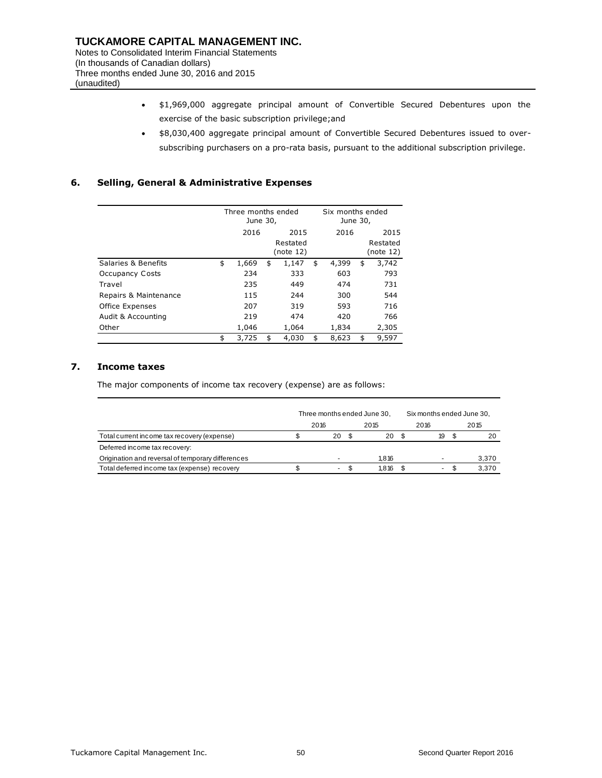- \$1,969,000 aggregate principal amount of Convertible Secured Debentures upon the exercise of the basic subscription privilege;and
- \$8,030,400 aggregate principal amount of Convertible Secured Debentures issued to oversubscribing purchasers on a pro-rata basis, pursuant to the additional subscription privilege.

### **6. Selling, General & Administrative Expenses**

|                        |    | Three months ended<br>June 30, |    |                               |    | Six months ended<br>June 30, |                               |       |  |
|------------------------|----|--------------------------------|----|-------------------------------|----|------------------------------|-------------------------------|-------|--|
|                        |    | 2016                           |    | 2015<br>Restated<br>(note 12) |    |                              | 2015<br>Restated<br>(note 12) |       |  |
| Salaries & Benefits    | \$ | 1,669                          | \$ | 1,147                         | \$ | 4,399                        | \$                            | 3,742 |  |
| <b>Occupancy Costs</b> |    | 234                            |    | 333                           |    | 603                          |                               | 793   |  |
| Travel                 |    | 235                            |    | 449                           |    | 474                          |                               | 731   |  |
| Repairs & Maintenance  |    | 115                            |    | 244                           |    | 300                          |                               | 544   |  |
| Office Expenses        |    | 207                            |    | 319                           |    | 593                          |                               | 716   |  |
| Audit & Accounting     |    | 219                            |    | 474                           |    | 420                          |                               | 766   |  |
| Other                  |    | 1,046                          |    | 1,064                         |    | 1,834                        |                               | 2,305 |  |
|                        | \$ | 3,725                          | \$ | 4,030                         | \$ | 8,623                        | \$                            | 9,597 |  |

## **7. Income taxes**

The major components of income tax recovery (expense) are as follows:

|                                                   | Three months ended June 30, |      |        |     |       | Six months ended June 30, |      |    |  |       |
|---------------------------------------------------|-----------------------------|------|--------|-----|-------|---------------------------|------|----|--|-------|
|                                                   |                             | 2016 |        |     | 2015  |                           | 2016 |    |  | 2015  |
| Total current income tax recovery (expense)       |                             |      | 20     | \$. | 20    |                           |      | 19 |  | 20    |
| Deferred income tax recovery:                     |                             |      |        |     |       |                           |      |    |  |       |
| Origination and reversal of temporary differences |                             |      |        |     | 1.816 |                           |      |    |  | 3,370 |
| Total deferred income tax (expense) recovery      |                             |      | $\sim$ |     | 1.816 |                           |      |    |  | 3,370 |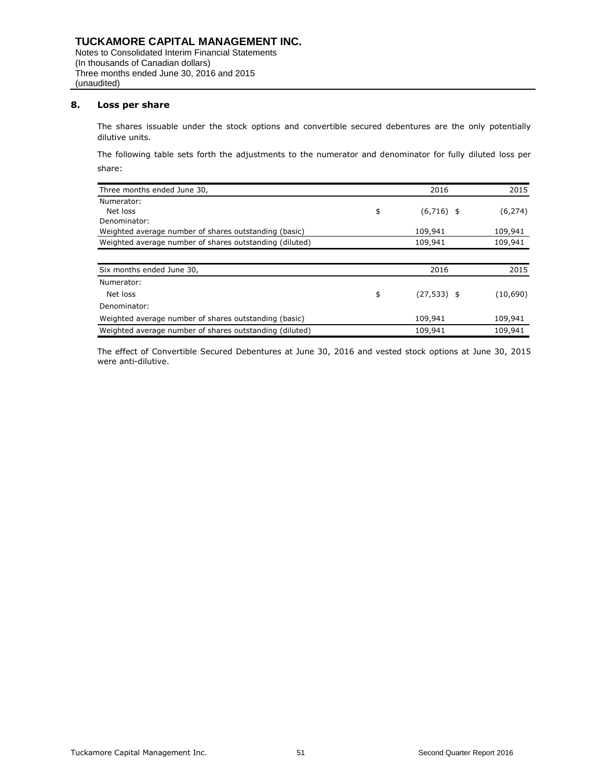### **8. Loss per share**

The shares issuable under the stock options and convertible secured debentures are the only potentially dilutive units.

The following table sets forth the adjustments to the numerator and denominator for fully diluted loss per share:

| Three months ended June 30,                             | 2016                 | 2015     |
|---------------------------------------------------------|----------------------|----------|
| Numerator:                                              |                      |          |
| Net loss                                                | \$<br>$(6,716)$ \$   | (6, 274) |
| Denominator:                                            |                      |          |
| Weighted average number of shares outstanding (basic)   | 109,941              | 109,941  |
| Weighted average number of shares outstanding (diluted) | 109,941              | 109,941  |
|                                                         |                      |          |
| Six months ended June 30,                               | 2016                 | 2015     |
| Numerator:                                              |                      |          |
| Net loss                                                | \$<br>$(27, 533)$ \$ | (10,690) |
| Denominator:                                            |                      |          |
| Weighted average number of shares outstanding (basic)   | 109,941              | 109,941  |
| Weighted average number of shares outstanding (diluted) | 109,941              | 109,941  |

The effect of Convertible Secured Debentures at June 30, 2016 and vested stock options at June 30, 2015 were anti-dilutive.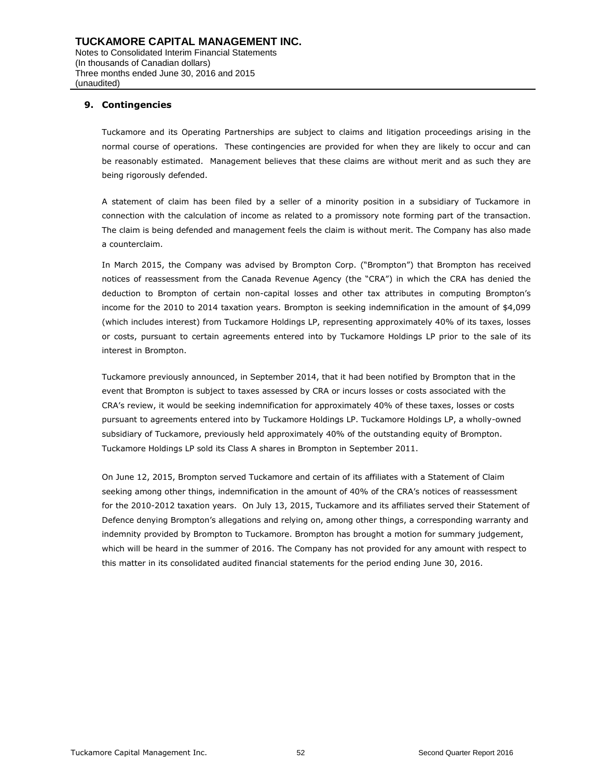## **9. Contingencies**

Tuckamore and its Operating Partnerships are subject to claims and litigation proceedings arising in the normal course of operations. These contingencies are provided for when they are likely to occur and can be reasonably estimated. Management believes that these claims are without merit and as such they are being rigorously defended.

A statement of claim has been filed by a seller of a minority position in a subsidiary of Tuckamore in connection with the calculation of income as related to a promissory note forming part of the transaction. The claim is being defended and management feels the claim is without merit. The Company has also made a counterclaim.

In March 2015, the Company was advised by Brompton Corp. ("Brompton") that Brompton has received notices of reassessment from the Canada Revenue Agency (the "CRA") in which the CRA has denied the deduction to Brompton of certain non-capital losses and other tax attributes in computing Brompton's income for the 2010 to 2014 taxation years. Brompton is seeking indemnification in the amount of \$4,099 (which includes interest) from Tuckamore Holdings LP, representing approximately 40% of its taxes, losses or costs, pursuant to certain agreements entered into by Tuckamore Holdings LP prior to the sale of its interest in Brompton.

Tuckamore previously announced, in September 2014, that it had been notified by Brompton that in the event that Brompton is subject to taxes assessed by CRA or incurs losses or costs associated with the CRA's review, it would be seeking indemnification for approximately 40% of these taxes, losses or costs pursuant to agreements entered into by Tuckamore Holdings LP. Tuckamore Holdings LP, a wholly-owned subsidiary of Tuckamore, previously held approximately 40% of the outstanding equity of Brompton. Tuckamore Holdings LP sold its Class A shares in Brompton in September 2011.

On June 12, 2015, Brompton served Tuckamore and certain of its affiliates with a Statement of Claim seeking among other things, indemnification in the amount of 40% of the CRA's notices of reassessment for the 2010-2012 taxation years. On July 13, 2015, Tuckamore and its affiliates served their Statement of Defence denying Brompton's allegations and relying on, among other things, a corresponding warranty and indemnity provided by Brompton to Tuckamore. Brompton has brought a motion for summary judgement, which will be heard in the summer of 2016. The Company has not provided for any amount with respect to this matter in its consolidated audited financial statements for the period ending June 30, 2016.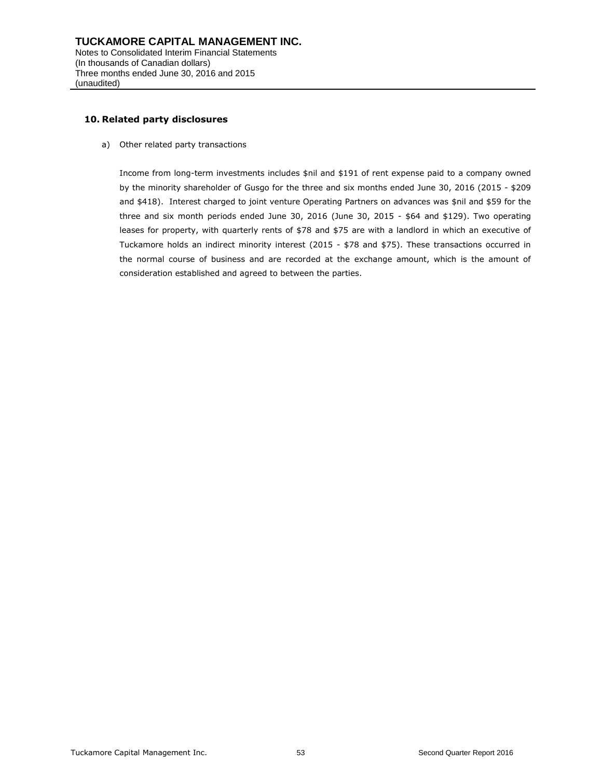### **10. Related party disclosures**

a) Other related party transactions

Income from long-term investments includes \$nil and \$191 of rent expense paid to a company owned by the minority shareholder of Gusgo for the three and six months ended June 30, 2016 (2015 - \$209 and \$418). Interest charged to joint venture Operating Partners on advances was \$nil and \$59 for the three and six month periods ended June 30, 2016 (June 30, 2015 - \$64 and \$129). Two operating leases for property, with quarterly rents of \$78 and \$75 are with a landlord in which an executive of Tuckamore holds an indirect minority interest (2015 - \$78 and \$75). These transactions occurred in the normal course of business and are recorded at the exchange amount, which is the amount of consideration established and agreed to between the parties.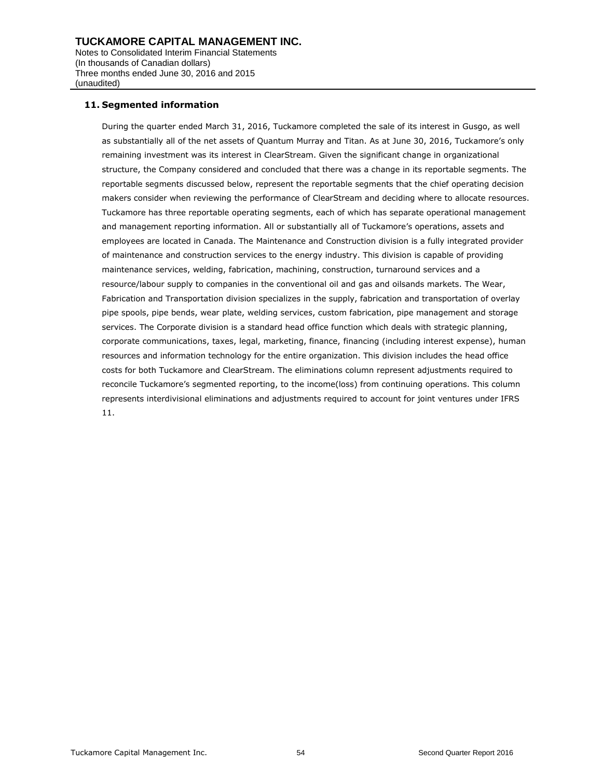### **11. Segmented information**

(unaudited)

During the quarter ended March 31, 2016, Tuckamore completed the sale of its interest in Gusgo, as well as substantially all of the net assets of Quantum Murray and Titan. As at June 30, 2016, Tuckamore's only remaining investment was its interest in ClearStream. Given the significant change in organizational structure, the Company considered and concluded that there was a change in its reportable segments. The reportable segments discussed below, represent the reportable segments that the chief operating decision makers consider when reviewing the performance of ClearStream and deciding where to allocate resources. Tuckamore has three reportable operating segments, each of which has separate operational management and management reporting information. All or substantially all of Tuckamore's operations, assets and employees are located in Canada. The Maintenance and Construction division is a fully integrated provider of maintenance and construction services to the energy industry. This division is capable of providing maintenance services, welding, fabrication, machining, construction, turnaround services and a resource/labour supply to companies in the conventional oil and gas and oilsands markets. The Wear, Fabrication and Transportation division specializes in the supply, fabrication and transportation of overlay pipe spools, pipe bends, wear plate, welding services, custom fabrication, pipe management and storage services. The Corporate division is a standard head office function which deals with strategic planning, corporate communications, taxes, legal, marketing, finance, financing (including interest expense), human resources and information technology for the entire organization. This division includes the head office costs for both Tuckamore and ClearStream. The eliminations column represent adjustments required to reconcile Tuckamore's segmented reporting, to the income(loss) from continuing operations. This column represents interdivisional eliminations and adjustments required to account for joint ventures under IFRS 11.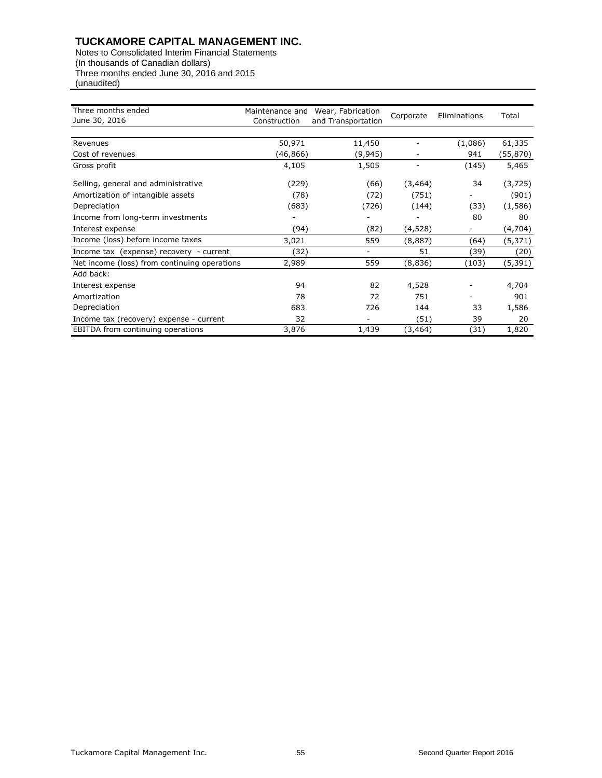| Three months ended<br>June 30, 2016          | Maintenance and<br>Construction | Wear, Fabrication<br>Corporate<br>and Transportation |          | Eliminations | Total     |  |
|----------------------------------------------|---------------------------------|------------------------------------------------------|----------|--------------|-----------|--|
|                                              |                                 |                                                      |          |              |           |  |
| Revenues                                     | 50,971                          | 11,450                                               |          | (1,086)      | 61,335    |  |
| Cost of revenues                             | (46,866)                        | (9, 945)                                             |          | 941          | (55, 870) |  |
| Gross profit                                 | 4,105                           | 1,505                                                |          | (145)        | 5,465     |  |
| Selling, general and administrative          | (229)                           | (66)                                                 | (3, 464) | 34           | (3, 725)  |  |
| Amortization of intangible assets            | (78)                            | (72)                                                 | (751)    |              | (901)     |  |
| Depreciation                                 | (683)                           | (726)                                                | (144)    | (33)         | (1,586)   |  |
| Income from long-term investments            |                                 |                                                      |          | 80           | 80        |  |
| Interest expense                             | (94)                            | (82)                                                 | (4,528)  |              | (4,704)   |  |
| Income (loss) before income taxes            | 3,021                           | 559                                                  | (8,887)  | (64)         | (5, 371)  |  |
| Income tax (expense) recovery - current      | (32)                            |                                                      | 51       | (39)         | (20)      |  |
| Net income (loss) from continuing operations | 2,989                           | 559                                                  | (8,836)  | (103)        | (5, 391)  |  |
| Add back:                                    |                                 |                                                      |          |              |           |  |
| Interest expense                             | 94                              | 82                                                   | 4,528    |              | 4,704     |  |
| Amortization                                 | 78                              | 72                                                   | 751      |              | 901       |  |
| Depreciation                                 | 683                             | 726                                                  | 144      | 33           | 1,586     |  |
| Income tax (recovery) expense - current      | 32                              |                                                      | (51)     | 39           | 20        |  |
| <b>EBITDA</b> from continuing operations     | 3,876                           | 1,439                                                | (3, 464) | (31)         | 1,820     |  |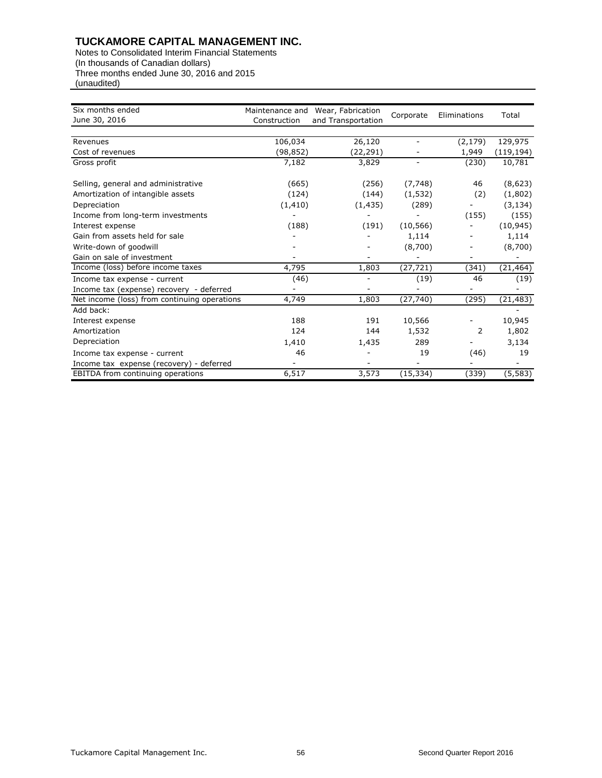| Six months ended                             | Maintenance and | Wear, Fabrication  |           |              |            |
|----------------------------------------------|-----------------|--------------------|-----------|--------------|------------|
| June 30, 2016                                | Construction    | and Transportation | Corporate | Eliminations | Total      |
|                                              |                 |                    |           |              |            |
| Revenues                                     | 106,034         | 26,120             |           | (2, 179)     | 129,975    |
| Cost of revenues                             | (98, 852)       | (22,291)           |           | 1,949        | (119, 194) |
| Gross profit                                 | 7,182           | 3,829              |           | (230)        | 10,781     |
|                                              |                 |                    |           |              |            |
| Selling, general and administrative          | (665)           | (256)              | (7, 748)  | 46           | (8,623)    |
| Amortization of intangible assets            | (124)           | (144)              | (1, 532)  | (2)          | (1,802)    |
| Depreciation                                 | (1, 410)        | (1, 435)           | (289)     |              | (3, 134)   |
| Income from long-term investments            |                 |                    |           | (155)        | (155)      |
| Interest expense                             | (188)           | (191)              | (10, 566) |              | (10, 945)  |
| Gain from assets held for sale               |                 |                    | 1,114     |              | 1,114      |
| Write-down of goodwill                       |                 |                    | (8,700)   |              | (8,700)    |
| Gain on sale of investment                   |                 |                    |           |              |            |
| Income (loss) before income taxes            | 4,795           | 1,803              | (27, 721) | (341)        | (21,464)   |
| Income tax expense - current                 | (46)            |                    | (19)      | 46           | (19)       |
| Income tax (expense) recovery - deferred     |                 |                    |           |              |            |
| Net income (loss) from continuing operations | 4,749           | 1,803              | (27, 740) | (295)        | (21, 483)  |
| Add back:                                    |                 |                    |           |              |            |
| Interest expense                             | 188             | 191                | 10,566    |              | 10,945     |
| Amortization                                 | 124             | 144                | 1,532     | 2            | 1,802      |
| Depreciation                                 | 1,410           | 1,435              | 289       |              | 3,134      |
| Income tax expense - current                 | 46              |                    | 19        | (46)         | 19         |
| Income tax expense (recovery) - deferred     |                 |                    |           |              |            |
| EBITDA from continuing operations            | 6,517           | 3,573              | (15, 334) | (339)        | (5, 583)   |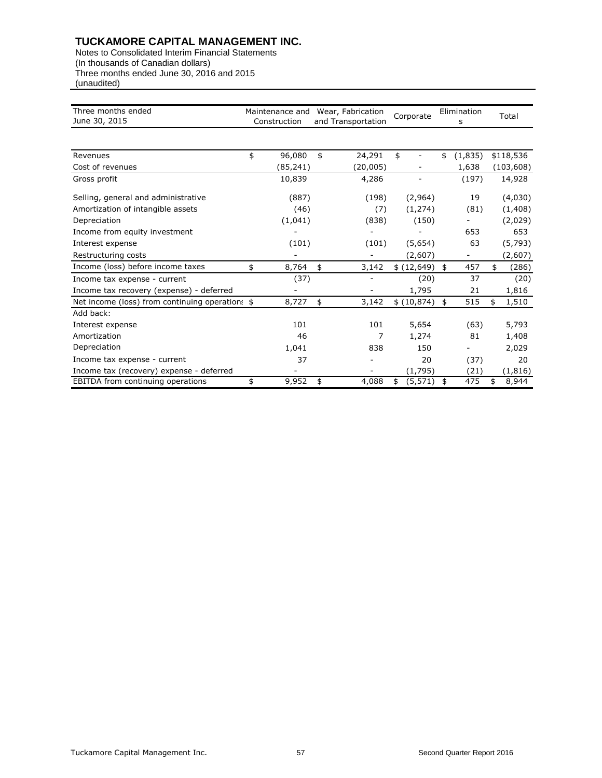| Three months ended<br>June 30, 2015             | Maintenance and<br>Construction | Wear, Fabrication<br>and Transportation |          |    | Corporate   |    | Elimination<br>s | Total       |
|-------------------------------------------------|---------------------------------|-----------------------------------------|----------|----|-------------|----|------------------|-------------|
|                                                 |                                 |                                         |          |    |             |    |                  |             |
| Revenues                                        | \$<br>96,080                    | \$                                      | 24,291   | \$ |             | \$ | (1,835)          | \$118,536   |
| Cost of revenues                                | (85, 241)                       |                                         | (20,005) |    |             |    | 1,638            | (103, 608)  |
| Gross profit                                    | 10,839                          |                                         | 4,286    |    |             |    | (197)            | 14,928      |
| Selling, general and administrative             | (887)                           |                                         | (198)    |    | (2,964)     |    | 19               | (4,030)     |
| Amortization of intangible assets               | (46)                            |                                         | (7)      |    | (1, 274)    |    | (81)             | (1, 408)    |
| Depreciation                                    | (1,041)                         |                                         | (838)    |    | (150)       |    |                  | (2,029)     |
| Income from equity investment                   |                                 |                                         |          |    |             |    | 653              | 653         |
| Interest expense                                | (101)                           |                                         | (101)    |    | (5,654)     |    | 63               | (5, 793)    |
| Restructuring costs                             |                                 |                                         |          |    | (2,607)     |    | -                | (2,607)     |
| Income (loss) before income taxes               | \$<br>8,764                     | \$                                      | 3,142    |    | \$ (12,649) | \$ | 457              | \$<br>(286) |
| Income tax expense - current                    | (37)                            |                                         |          |    | (20)        |    | 37               | (20)        |
| Income tax recovery (expense) - deferred        |                                 |                                         |          |    | 1,795       |    | 21               | 1,816       |
| Net income (loss) from continuing operations \$ | 8,727                           | \$                                      | 3,142    |    | \$(10, 874) | \$ | 515              | \$<br>1,510 |
| Add back:                                       |                                 |                                         |          |    |             |    |                  |             |
| Interest expense                                | 101                             |                                         | 101      |    | 5,654       |    | (63)             | 5,793       |
| Amortization                                    | 46                              |                                         | 7        |    | 1,274       |    | 81               | 1,408       |
| Depreciation                                    | 1,041                           |                                         | 838      |    | 150         |    |                  | 2,029       |
| Income tax expense - current                    | 37                              |                                         |          |    | 20          |    | (37)             | 20          |
| Income tax (recovery) expense - deferred        |                                 |                                         |          |    | (1,795)     |    | (21)             | (1, 816)    |
| EBITDA from continuing operations               | \$<br>9,952                     | \$                                      | 4,088    | \$ | (5, 571)    | \$ | 475              | \$<br>8,944 |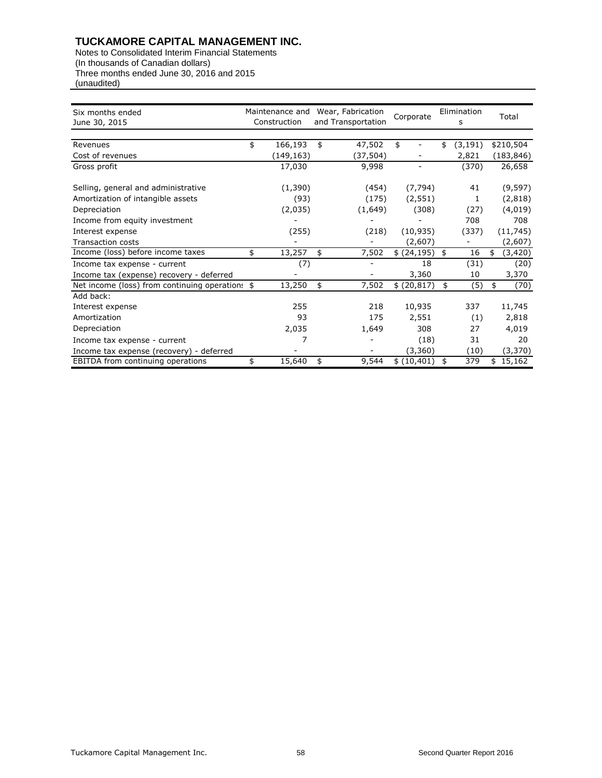| Six months ended<br>June 30, 2015               | Maintenance and<br>Construction |            | Wear, Fabrication<br>and Transportation |           | Corporate |              | Elimination<br>s |          | Total |            |
|-------------------------------------------------|---------------------------------|------------|-----------------------------------------|-----------|-----------|--------------|------------------|----------|-------|------------|
|                                                 |                                 |            |                                         |           |           |              |                  |          |       |            |
| Revenues                                        | \$                              | 166,193    | \$                                      | 47,502    | \$        |              | \$               | (3, 191) |       | \$210,504  |
| Cost of revenues                                |                                 | (149, 163) |                                         | (37, 504) |           |              |                  | 2,821    |       | (183, 846) |
| Gross profit                                    |                                 | 17,030     |                                         | 9,998     |           |              |                  | (370)    |       | 26,658     |
| Selling, general and administrative             |                                 | (1,390)    |                                         | (454)     |           | (7, 794)     |                  | 41       |       | (9, 597)   |
| Amortization of intangible assets               |                                 | (93)       |                                         | (175)     |           | (2, 551)     |                  | 1        |       | (2,818)    |
| Depreciation                                    |                                 | (2,035)    |                                         | (1,649)   |           | (308)        |                  | (27)     |       | (4,019)    |
| Income from equity investment                   |                                 |            |                                         |           |           |              |                  | 708      |       | 708        |
| Interest expense                                |                                 | (255)      |                                         | (218)     |           | (10, 935)    |                  | (337)    |       | (11, 745)  |
| <b>Transaction costs</b>                        |                                 |            |                                         |           |           | (2,607)      |                  |          |       | (2,607)    |
| Income (loss) before income taxes               | \$                              | 13,257     | \$                                      | 7,502     |           | \$ (24, 195) | \$               | 16       | \$    | (3,420)    |
| Income tax expense - current                    |                                 | (7)        |                                         |           |           | 18           |                  | (31)     |       | (20)       |
| Income tax (expense) recovery - deferred        |                                 |            |                                         |           |           | 3,360        |                  | 10       |       | 3,370      |
| Net income (loss) from continuing operations \$ |                                 | 13,250     | \$                                      | 7,502     |           | \$(20, 817)  | \$               | (5)      | \$    | (70)       |
| Add back:                                       |                                 |            |                                         |           |           |              |                  |          |       |            |
| Interest expense                                |                                 | 255        |                                         | 218       |           | 10,935       |                  | 337      |       | 11,745     |
| Amortization                                    |                                 | 93         |                                         | 175       |           | 2,551        |                  | (1)      |       | 2,818      |
| Depreciation                                    |                                 | 2,035      |                                         | 1,649     |           | 308          |                  | 27       |       | 4,019      |
| Income tax expense - current                    |                                 |            |                                         |           |           | (18)         |                  | 31       |       | 20         |
| Income tax expense (recovery) - deferred        |                                 |            |                                         |           |           | (3,360)      |                  | (10)     |       | (3, 370)   |
| EBITDA from continuing operations               | \$                              | 15,640     | \$                                      | 9,544     |           | \$(10,401)   | \$               | 379      |       | 15,162     |